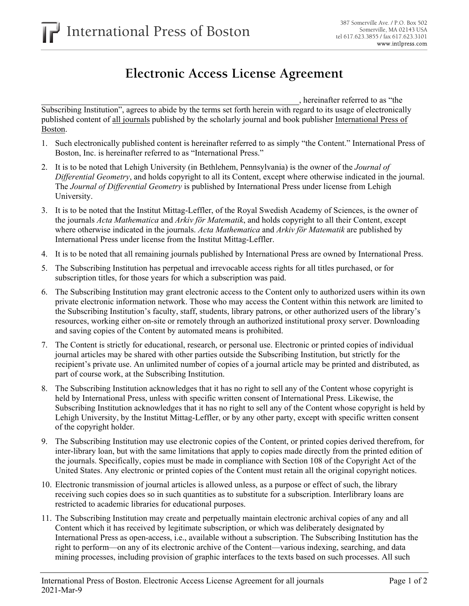## **Electronic Access License Agreement**

, hereinafter referred to as "the

Subscribing Institution", agrees to abide by the terms set forth herein with regard to its usage of electronically published content of all journals published by the scholarly journal and book publisher International Press of Boston.

- 1. Such electronically published content is hereinafter referred to as simply "the Content." International Press of Boston, Inc. is hereinafter referred to as "International Press."
- 2. It is to be noted that Lehigh University (in Bethlehem, Pennsylvania) is the owner of the *Journal of Differential Geometry*, and holds copyright to all its Content, except where otherwise indicated in the journal. The *Journal of Differential Geometry* is published by International Press under license from Lehigh University.
- 3. It is to be noted that the Institut Mittag-Leffler, of the Royal Swedish Academy of Sciences, is the owner of the journals *Acta Mathematica* and *Arkiv för Matematik*, and holds copyright to all their Content, except where otherwise indicated in the journals. *Acta Mathematica* and *Arkiv för Matematik* are published by International Press under license from the Institut Mittag-Leffler.
- 4. It is to be noted that all remaining journals published by International Press are owned by International Press.
- 5. The Subscribing Institution has perpetual and irrevocable access rights for all titles purchased, or for subscription titles, for those years for which a subscription was paid.
- 6. The Subscribing Institution may grant electronic access to the Content only to authorized users within its own private electronic information network. Those who may access the Content within this network are limited to the Subscribing Institution's faculty, staff, students, library patrons, or other authorized users of the library's resources, working either on-site or remotely through an authorized institutional proxy server. Downloading and saving copies of the Content by automated means is prohibited.
- 7. The Content is strictly for educational, research, or personal use. Electronic or printed copies of individual journal articles may be shared with other parties outside the Subscribing Institution, but strictly for the recipient's private use. An unlimited number of copies of a journal article may be printed and distributed, as part of course work, at the Subscribing Institution.
- 8. The Subscribing Institution acknowledges that it has no right to sell any of the Content whose copyright is held by International Press, unless with specific written consent of International Press. Likewise, the Subscribing Institution acknowledges that it has no right to sell any of the Content whose copyright is held by Lehigh University, by the Institut Mittag-Leffler, or by any other party, except with specific written consent of the copyright holder.
- 9. The Subscribing Institution may use electronic copies of the Content, or printed copies derived therefrom, for inter-library loan, but with the same limitations that apply to copies made directly from the printed edition of the journals. Specifically, copies must be made in compliance with Section 108 of the Copyright Act of the United States. Any electronic or printed copies of the Content must retain all the original copyright notices.
- 10. Electronic transmission of journal articles is allowed unless, as a purpose or effect of such, the library receiving such copies does so in such quantities as to substitute for a subscription. Interlibrary loans are restricted to academic libraries for educational purposes.
- 11. The Subscribing Institution may create and perpetually maintain electronic archival copies of any and all Content which it has received by legitimate subscription, or which was deliberately designated by International Press as open-access, i.e., available without a subscription. The Subscribing Institution has the right to perform—on any of its electronic archive of the Content—various indexing, searching, and data mining processes, including provision of graphic interfaces to the texts based on such processes. All such